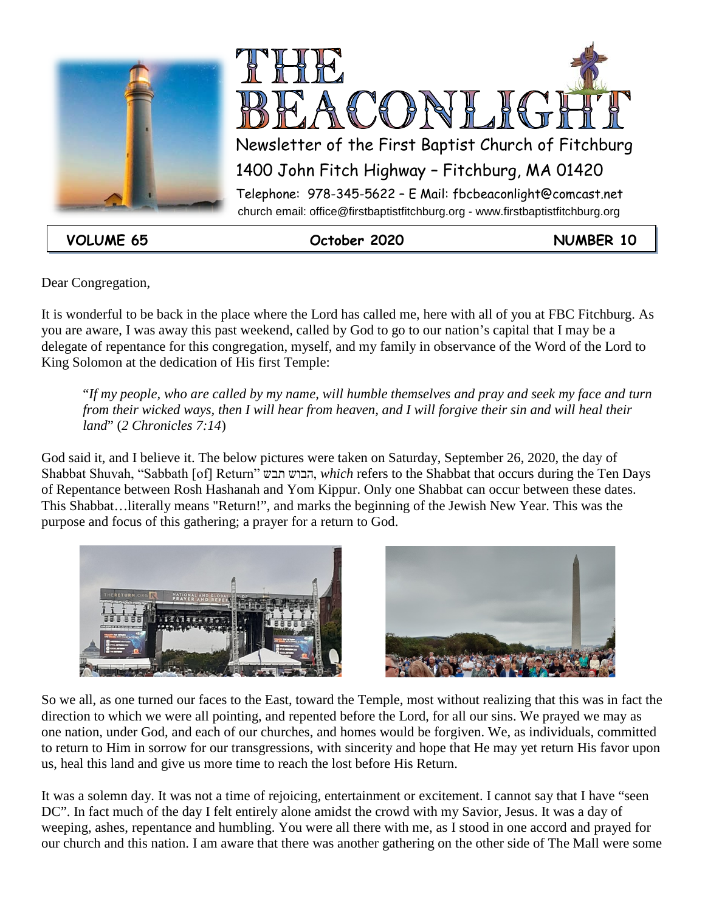



**VOLUME 65 October 2020 NUMBER 10**

Dear Congregation,

It is wonderful to be back in the place where the Lord has called me, here with all of you at FBC Fitchburg. As you are aware, I was away this past weekend, called by God to go to our nation's capital that I may be a delegate of repentance for this congregation, myself, and my family in observance of the Word of the Lord to King Solomon at the dedication of His first Temple:

"*If my people, who are called by my name, will humble themselves and pray and seek my face and turn from their wicked ways, then I will hear from heaven, and I will forgive their sin and will heal their land*" (*2 Chronicles 7:14*)

God said it, and I believe it. The below pictures were taken on Saturday, September 26, 2020, the day of Shabbat Shuvah, "Sabbath [of] Return" תבש הבוש, *which* refers to the Shabbat that occurs during the Ten Days of Repentance between Rosh Hashanah and Yom Kippur. Only one Shabbat can occur between these dates. This Shabbat…literally means "Return!", and marks the beginning of the Jewish New Year. This was the purpose and focus of this gathering; a prayer for a return to God.





So we all, as one turned our faces to the East, toward the Temple, most without realizing that this was in fact the direction to which we were all pointing, and repented before the Lord, for all our sins. We prayed we may as one nation, under God, and each of our churches, and homes would be forgiven. We, as individuals, committed to return to Him in sorrow for our transgressions, with sincerity and hope that He may yet return His favor upon us, heal this land and give us more time to reach the lost before His Return.

It was a solemn day. It was not a time of rejoicing, entertainment or excitement. I cannot say that I have "seen DC". In fact much of the day I felt entirely alone amidst the crowd with my Savior, Jesus. It was a day of weeping, ashes, repentance and humbling. You were all there with me, as I stood in one accord and prayed for our church and this nation. I am aware that there was another gathering on the other side of The Mall were some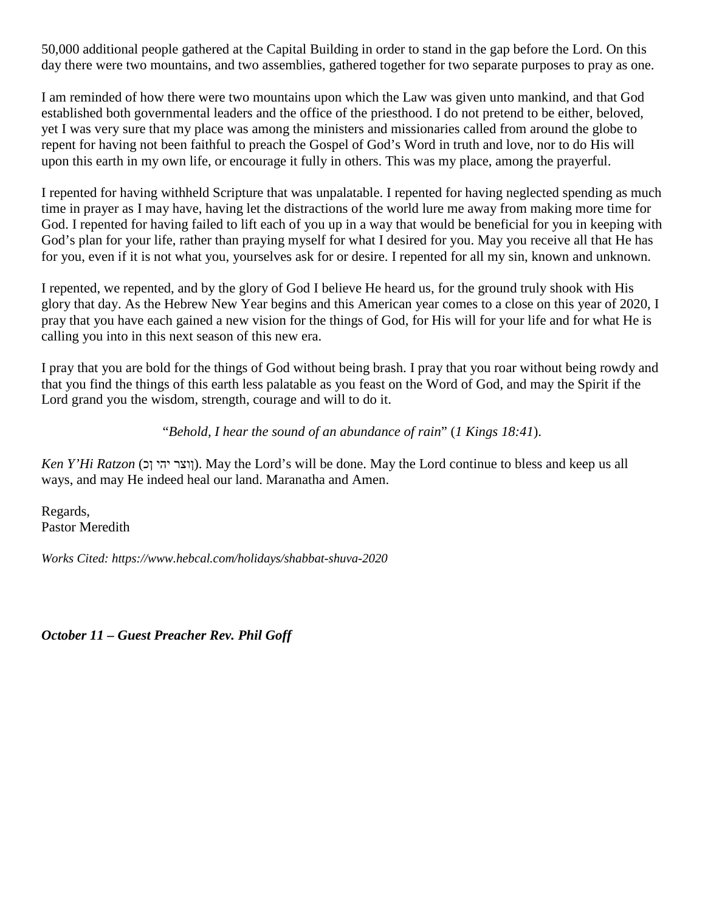50,000 additional people gathered at the Capital Building in order to stand in the gap before the Lord. On this day there were two mountains, and two assemblies, gathered together for two separate purposes to pray as one.

I am reminded of how there were two mountains upon which the Law was given unto mankind, and that God established both governmental leaders and the office of the priesthood. I do not pretend to be either, beloved, yet I was very sure that my place was among the ministers and missionaries called from around the globe to repent for having not been faithful to preach the Gospel of God's Word in truth and love, nor to do His will upon this earth in my own life, or encourage it fully in others. This was my place, among the prayerful.

I repented for having withheld Scripture that was unpalatable. I repented for having neglected spending as much time in prayer as I may have, having let the distractions of the world lure me away from making more time for God. I repented for having failed to lift each of you up in a way that would be beneficial for you in keeping with God's plan for your life, rather than praying myself for what I desired for you. May you receive all that He has for you, even if it is not what you, yourselves ask for or desire. I repented for all my sin, known and unknown.

I repented, we repented, and by the glory of God I believe He heard us, for the ground truly shook with His glory that day. As the Hebrew New Year begins and this American year comes to a close on this year of 2020, I pray that you have each gained a new vision for the things of God, for His will for your life and for what He is calling you into in this next season of this new era.

I pray that you are bold for the things of God without being brash. I pray that you roar without being rowdy and that you find the things of this earth less palatable as you feast on the Word of God, and may the Spirit if the Lord grand you the wisdom, strength, courage and will to do it.

"*Behold, I hear the sound of an abundance of rain*" (*1 Kings 18:41*).

*Ken Y'Hi Ratzon* (ווצר יהי וכ). May the Lord's will be done. May the Lord continue to bless and keep us all ways, and may He indeed heal our land. Maranatha and Amen.

Regards, Pastor Meredith

*Works Cited: https://www.hebcal.com/holidays/shabbat-shuva-2020*

*October 11 – Guest Preacher Rev. Phil Goff*